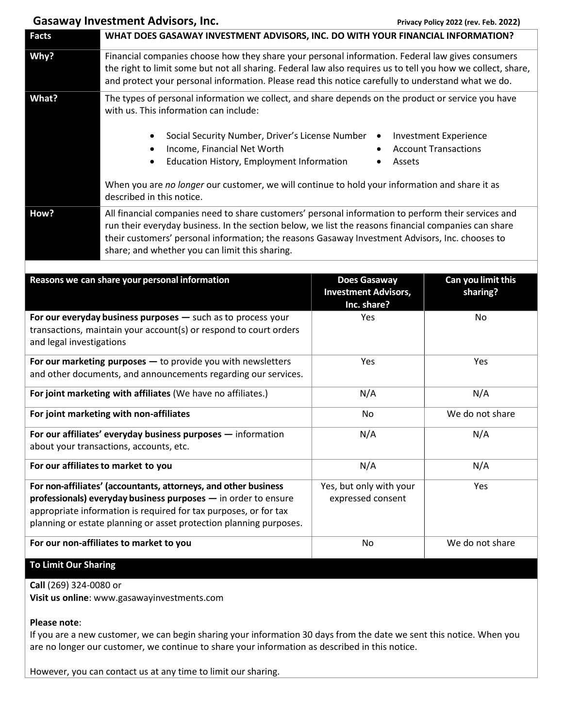## Gasaway Investment Advisors, Inc. *Privacy Policy 2022 (rev. Feb. 2022)*

| <b>Facts</b>                                                                                                                                                                                                                                                                | WHAT DOES GASAWAY INVESTMENT ADVISORS, INC. DO WITH YOUR FINANCIAL INFORMATION?                                                                                                                                                                                                                                                                                  |                                                                   |                                                             |  |
|-----------------------------------------------------------------------------------------------------------------------------------------------------------------------------------------------------------------------------------------------------------------------------|------------------------------------------------------------------------------------------------------------------------------------------------------------------------------------------------------------------------------------------------------------------------------------------------------------------------------------------------------------------|-------------------------------------------------------------------|-------------------------------------------------------------|--|
| Why?                                                                                                                                                                                                                                                                        | Financial companies choose how they share your personal information. Federal law gives consumers<br>the right to limit some but not all sharing. Federal law also requires us to tell you how we collect, share,<br>and protect your personal information. Please read this notice carefully to understand what we do.                                           |                                                                   |                                                             |  |
| What?                                                                                                                                                                                                                                                                       | The types of personal information we collect, and share depends on the product or service you have<br>with us. This information can include:                                                                                                                                                                                                                     |                                                                   |                                                             |  |
|                                                                                                                                                                                                                                                                             | Social Security Number, Driver's License Number<br>$\bullet$<br>Income, Financial Net Worth<br>$\bullet$<br>Education History, Employment Information<br>$\bullet$                                                                                                                                                                                               | $\bullet$<br>Assets                                               | <b>Investment Experience</b><br><b>Account Transactions</b> |  |
|                                                                                                                                                                                                                                                                             | When you are no longer our customer, we will continue to hold your information and share it as<br>described in this notice.                                                                                                                                                                                                                                      |                                                                   |                                                             |  |
| How?                                                                                                                                                                                                                                                                        | All financial companies need to share customers' personal information to perform their services and<br>run their everyday business. In the section below, we list the reasons financial companies can share<br>their customers' personal information; the reasons Gasaway Investment Advisors, Inc. chooses to<br>share; and whether you can limit this sharing. |                                                                   |                                                             |  |
|                                                                                                                                                                                                                                                                             | Reasons we can share your personal information                                                                                                                                                                                                                                                                                                                   | <b>Does Gasaway</b><br><b>Investment Advisors,</b><br>Inc. share? | Can you limit this<br>sharing?                              |  |
| For our everyday business purposes - such as to process your<br>transactions, maintain your account(s) or respond to court orders<br>and legal investigations                                                                                                               |                                                                                                                                                                                                                                                                                                                                                                  | Yes                                                               | No                                                          |  |
| For our marketing purposes $-$ to provide you with newsletters<br>and other documents, and announcements regarding our services.                                                                                                                                            |                                                                                                                                                                                                                                                                                                                                                                  | Yes                                                               | Yes                                                         |  |
| For joint marketing with affiliates (We have no affiliates.)                                                                                                                                                                                                                |                                                                                                                                                                                                                                                                                                                                                                  | N/A                                                               | N/A                                                         |  |
|                                                                                                                                                                                                                                                                             | For joint marketing with non-affiliates                                                                                                                                                                                                                                                                                                                          | No                                                                | We do not share                                             |  |
| For our affiliates' everyday business purposes - information<br>about your transactions, accounts, etc.                                                                                                                                                                     |                                                                                                                                                                                                                                                                                                                                                                  | N/A                                                               | N/A                                                         |  |
| For our affiliates to market to you                                                                                                                                                                                                                                         |                                                                                                                                                                                                                                                                                                                                                                  | N/A                                                               | N/A                                                         |  |
| For non-affiliates' (accountants, attorneys, and other business<br>professionals) everyday business purposes - in order to ensure<br>appropriate information is required for tax purposes, or for tax<br>planning or estate planning or asset protection planning purposes. |                                                                                                                                                                                                                                                                                                                                                                  | Yes, but only with your<br>expressed consent                      | Yes                                                         |  |
| For our non-affiliates to market to you                                                                                                                                                                                                                                     |                                                                                                                                                                                                                                                                                                                                                                  | No                                                                | We do not share                                             |  |
| <b>To Limit Our Sharing</b>                                                                                                                                                                                                                                                 |                                                                                                                                                                                                                                                                                                                                                                  |                                                                   |                                                             |  |
| Call (269) 324-0080 or                                                                                                                                                                                                                                                      |                                                                                                                                                                                                                                                                                                                                                                  |                                                                   |                                                             |  |

**Visit us online**: www.gasawayinvestments.com

## **Please note**:

If you are a new customer, we can begin sharing your information 30 days from the date we sent this notice. When you are no longer our customer, we continue to share your information as described in this notice.

However, you can contact us at any time to limit our sharing.